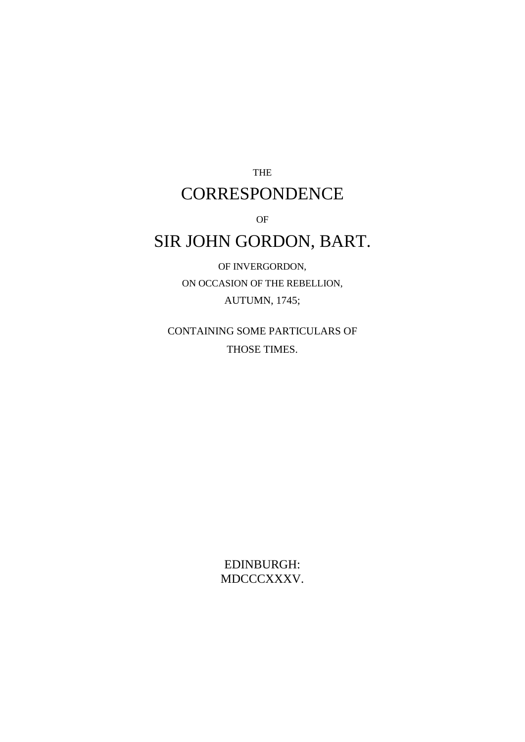THE **CORRESPONDENCE** 

OF

# SIR JOHN GORDON, BART.

OF INVERGORDON, ON OCCASION OF THE REBELLION, AUTUMN, 1745;

CONTAINING SOME PARTICULARS OF THOSE TIMES.

> EDINBURGH: MDCCCXXXV.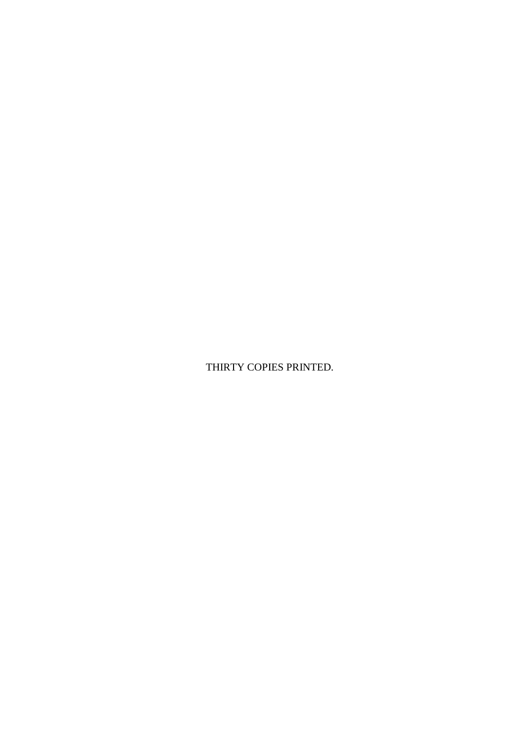THIRTY COPIES PRINTED.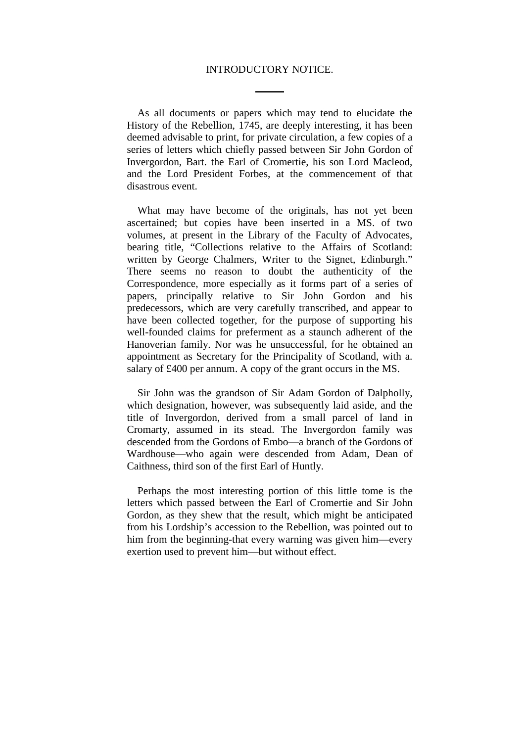#### INTRODUCTORY NOTICE.

As all documents or papers which may tend to elucidate the History of the Rebellion, 1745, are deeply interesting, it has been deemed advisable to print, for private circulation, a few copies of a series of letters which chiefly passed between Sir John Gordon of Invergordon, Bart. the Earl of Cromertie, his son Lord Macleod, and the Lord President Forbes, at the commencement of that disastrous event.

What may have become of the originals, has not yet been ascertained; but copies have been inserted in a MS. of two volumes, at present in the Library of the Faculty of Advocates, bearing title, "Collections relative to the Affairs of Scotland: written by George Chalmers, Writer to the Signet, Edinburgh." There seems no reason to doubt the authenticity of the Correspondence, more especially as it forms part of a series of papers, principally relative to Sir John Gordon and his predecessors, which are very carefully transcribed, and appear to have been collected together, for the purpose of supporting his well-founded claims for preferment as a staunch adherent of the Hanoverian family. Nor was he unsuccessful, for he obtained an appointment as Secretary for the Principality of Scotland, with a. salary of £400 per annum. A copy of the grant occurs in the MS.

Sir John was the grandson of Sir Adam Gordon of Dalpholly, which designation, however, was subsequently laid aside, and the title of Invergordon, derived from a small parcel of land in Cromarty, assumed in its stead. The Invergordon family was descended from the Gordons of Embo—a branch of the Gordons of Wardhouse—who again were descended from Adam, Dean of Caithness, third son of the first Earl of Huntly.

Perhaps the most interesting portion of this little tome is the letters which passed between the Earl of Cromertie and Sir John Gordon, as they shew that the result, which might be anticipated from his Lordship's accession to the Rebellion, was pointed out to him from the beginning-that every warning was given him—every exertion used to prevent him—but without effect.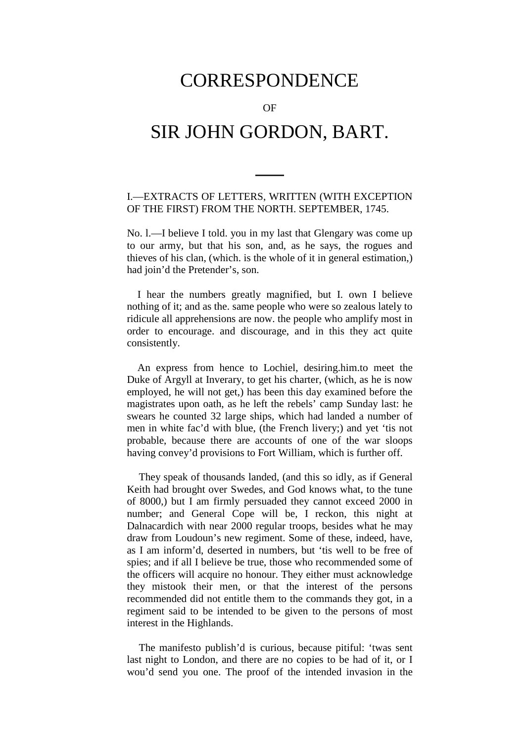# CORRESPONDENCE

OF

# SIR JOHN GORDON, BART.

### I.—EXTRACTS OF LETTERS, WRITTEN (WITH EXCEPTION OF THE FIRST) FROM THE NORTH. SEPTEMBER, 1745.

No. l.—I believe I told. you in my last that Glengary was come up to our army, but that his son, and, as he says, the rogues and thieves of his clan, (which. is the whole of it in general estimation,) had join'd the Pretender's, son.

I hear the numbers greatly magnified, but I. own I believe nothing of it; and as the. same people who were so zealous lately to ridicule all apprehensions are now. the people who amplify most in order to encourage. and discourage, and in this they act quite consistently.

An express from hence to Lochiel, desiring.him.to meet the Duke of Argyll at Inverary, to get his charter, (which, as he is now employed, he will not get,) has been this day examined before the magistrates upon oath, as he left the rebels' camp Sunday last: he swears he counted 32 large ships, which had landed a number of men in white fac'd with blue, (the French livery;) and yet 'tis not probable, because there are accounts of one of the war sloops having convey'd provisions to Fort William, which is further off.

They speak of thousands landed, (and this so idly, as if General Keith had brought over Swedes, and God knows what, to the tune of 8000,) but I am firmly persuaded they cannot exceed 2000 in number; and General Cope will be, I reckon, this night at Dalnacardich with near 2000 regular troops, besides what he may draw from Loudoun's new regiment. Some of these, indeed, have, as I am inform'd, deserted in numbers, but 'tis well to be free of spies; and if all I believe be true, those who recommended some of the officers will acquire no honour. They either must acknowledge they mistook their men, or that the interest of the persons recommended did not entitle them to the commands they got, in a regiment said to be intended to be given to the persons of most interest in the Highlands.

The manifesto publish'd is curious, because pitiful: 'twas sent last night to London, and there are no copies to be had of it, or I wou'd send you one. The proof of the intended invasion in the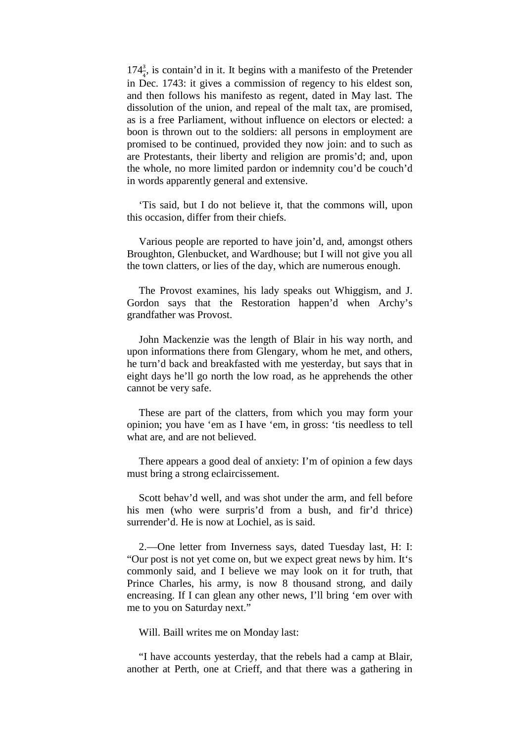$174\frac{3}{4}$ , is contain'd in it. It begins with a manifesto of the Pretender 4 in Dec. 1743: it gives a commission of regency to his eldest son, and then follows his manifesto as regent, dated in May last. The dissolution of the union, and repeal of the malt tax, are promised, as is a free Parliament, without influence on electors or elected: a boon is thrown out to the soldiers: all persons in employment are promised to be continued, provided they now join: and to such as are Protestants, their liberty and religion are promis'd; and, upon the whole, no more limited pardon or indemnity cou'd be couch'd in words apparently general and extensive.

'Tis said, but I do not believe it, that the commons will, upon this occasion, differ from their chiefs.

Various people are reported to have join'd, and, amongst others Broughton, Glenbucket, and Wardhouse; but I will not give you all the town clatters, or lies of the day, which are numerous enough.

The Provost examines, his lady speaks out Whiggism, and J. Gordon says that the Restoration happen'd when Archy's grandfather was Provost.

John Mackenzie was the length of Blair in his way north, and upon informations there from Glengary, whom he met, and others, he turn'd back and breakfasted with me yesterday, but says that in eight days he'll go north the low road, as he apprehends the other cannot be very safe.

These are part of the clatters, from which you may form your opinion; you have 'em as I have 'em, in gross: 'tis needless to tell what are, and are not believed.

There appears a good deal of anxiety: I'm of opinion a few days must bring a strong eclaircissement.

Scott behav'd well, and was shot under the arm, and fell before his men (who were surpris'd from a bush, and fir'd thrice) surrender'd. He is now at Lochiel, as is said.

2.—One letter from Inverness says, dated Tuesday last, H: I: "Our post is not yet come on, but we expect great news by him. It's commonly said, and I believe we may look on it for truth, that Prince Charles, his army, is now 8 thousand strong, and daily encreasing. If I can glean any other news, I'll bring 'em over with me to you on Saturday next."

Will. Baill writes me on Monday last:

"I have accounts yesterday, that the rebels had a camp at Blair, another at Perth, one at Crieff, and that there was a gathering in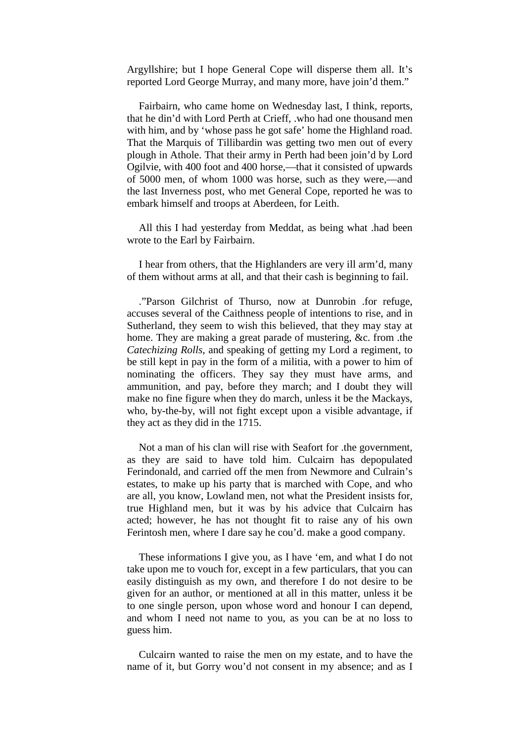Argyllshire; but I hope General Cope will disperse them all. It's reported Lord George Murray, and many more, have join'd them."

Fairbairn, who came home on Wednesday last, I think, reports, that he din'd with Lord Perth at Crieff, .who had one thousand men with him, and by 'whose pass he got safe' home the Highland road. That the Marquis of Tillibardin was getting two men out of every plough in Athole. That their army in Perth had been join'd by Lord Ogilvie, with 400 foot and 400 horse,—that it consisted of upwards of 5000 men, of whom 1000 was horse, such as they were,—and the last Inverness post, who met General Cope, reported he was to embark himself and troops at Aberdeen, for Leith.

All this I had yesterday from Meddat, as being what .had been wrote to the Earl by Fairbairn.

I hear from others, that the Highlanders are very ill arm'd, many of them without arms at all, and that their cash is beginning to fail.

."Parson Gilchrist of Thurso, now at Dunrobin .for refuge, accuses several of the Caithness people of intentions to rise, and in Sutherland, they seem to wish this believed, that they may stay at home. They are making a great parade of mustering, &c. from .the *Catechizing Rolls*, and speaking of getting my Lord a regiment, to be still kept in pay in the form of a militia, with a power to him of nominating the officers. They say they must have arms, and ammunition, and pay, before they march; and I doubt they will make no fine figure when they do march, unless it be the Mackays, who, by-the-by, will not fight except upon a visible advantage, if they act as they did in the 1715.

Not a man of his clan will rise with Seafort for .the government, as they are said to have told him. Culcairn has depopulated Ferindonald, and carried off the men from Newmore and Culrain's estates, to make up his party that is marched with Cope, and who are all, you know, Lowland men, not what the President insists for, true Highland men, but it was by his advice that Culcairn has acted; however, he has not thought fit to raise any of his own Ferintosh men, where I dare say he cou'd. make a good company.

These informations I give you, as I have 'em, and what I do not take upon me to vouch for, except in a few particulars, that you can easily distinguish as my own, and therefore I do not desire to be given for an author, or mentioned at all in this matter, unless it be to one single person, upon whose word and honour I can depend, and whom I need not name to you, as you can be at no loss to guess him.

Culcairn wanted to raise the men on my estate, and to have the name of it, but Gorry wou'd not consent in my absence; and as I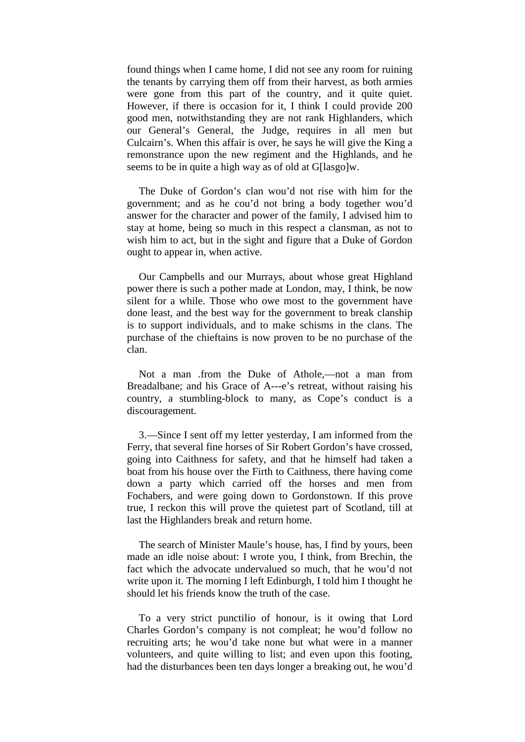found things when I came home, I did not see any room for ruining the tenants by carrying them off from their harvest, as both armies were gone from this part of the country, and it quite quiet. However, if there is occasion for it, I think I could provide 200 good men, notwithstanding they are not rank Highlanders, which our General's General, the Judge, requires in all men but Culcairn's. When this affair is over, he says he will give the King a remonstrance upon the new regiment and the Highlands, and he seems to be in quite a high way as of old at G[lasgo]w.

The Duke of Gordon's clan wou'd not rise with him for the government; and as he cou'd not bring a body together wou'd answer for the character and power of the family, I advised him to stay at home, being so much in this respect a clansman, as not to wish him to act, but in the sight and figure that a Duke of Gordon ought to appear in, when active.

Our Campbells and our Murrays, about whose great Highland power there is such a pother made at London, may, I think, be now silent for a while. Those who owe most to the government have done least, and the best way for the government to break clanship is to support individuals, and to make schisms in the clans. The purchase of the chieftains is now proven to be no purchase of the clan.

Not a man .from the Duke of Athole,—not a man from Breadalbane; and his Grace of A---e's retreat, without raising his country, a stumbling-block to many, as Cope's conduct is a discouragement.

3.—Since I sent off my letter yesterday, I am informed from the Ferry, that several fine horses of Sir Robert Gordon's have crossed, going into Caithness for safety, and that he himself had taken a boat from his house over the Firth to Caithness, there having come down a party which carried off the horses and men from Fochabers, and were going down to Gordonstown. If this prove true, I reckon this will prove the quietest part of Scotland, till at last the Highlanders break and return home.

The search of Minister Maule's house, has, I find by yours, been made an idle noise about: I wrote you, I think, from Brechin, the fact which the advocate undervalued so much, that he wou'd not write upon it. The morning I left Edinburgh, I told him I thought he should let his friends know the truth of the case.

To a very strict punctilio of honour, is it owing that Lord Charles Gordon's company is not compleat; he wou'd follow no recruiting arts; he wou'd take none but what were in a manner volunteers, and quite willing to list; and even upon this footing, had the disturbances been ten days longer a breaking out, he wou'd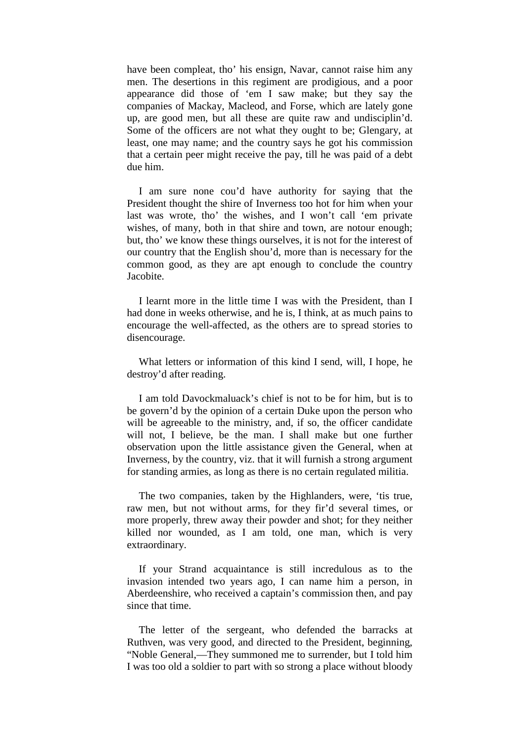have been compleat, tho' his ensign, Navar, cannot raise him any men. The desertions in this regiment are prodigious, and a poor appearance did those of 'em I saw make; but they say the companies of Mackay, Macleod, and Forse, which are lately gone up, are good men, but all these are quite raw and undisciplin'd. Some of the officers are not what they ought to be; Glengary, at least, one may name; and the country says he got his commission that a certain peer might receive the pay, till he was paid of a debt due him.

I am sure none cou'd have authority for saying that the President thought the shire of Inverness too hot for him when your last was wrote, tho' the wishes, and I won't call 'em private wishes, of many, both in that shire and town, are notour enough; but, tho' we know these things ourselves, it is not for the interest of our country that the English shou'd, more than is necessary for the common good, as they are apt enough to conclude the country Jacobite.

I learnt more in the little time I was with the President, than I had done in weeks otherwise, and he is, I think, at as much pains to encourage the well-affected, as the others are to spread stories to disencourage.

What letters or information of this kind I send, will, I hope, he destroy'd after reading.

I am told Davockmaluack's chief is not to be for him, but is to be govern'd by the opinion of a certain Duke upon the person who will be agreeable to the ministry, and, if so, the officer candidate will not. I believe, be the man. I shall make but one further observation upon the little assistance given the General, when at Inverness, by the country, viz. that it will furnish a strong argument for standing armies, as long as there is no certain regulated militia.

The two companies, taken by the Highlanders, were, 'tis true, raw men, but not without arms, for they fir'd several times, or more properly, threw away their powder and shot; for they neither killed nor wounded, as I am told, one man, which is very extraordinary.

If your Strand acquaintance is still incredulous as to the invasion intended two years ago, I can name him a person, in Aberdeenshire, who received a captain's commission then, and pay since that time.

The letter of the sergeant, who defended the barracks at Ruthven, was very good, and directed to the President, beginning, "Noble General,—They summoned me to surrender, but I told him I was too old a soldier to part with so strong a place without bloody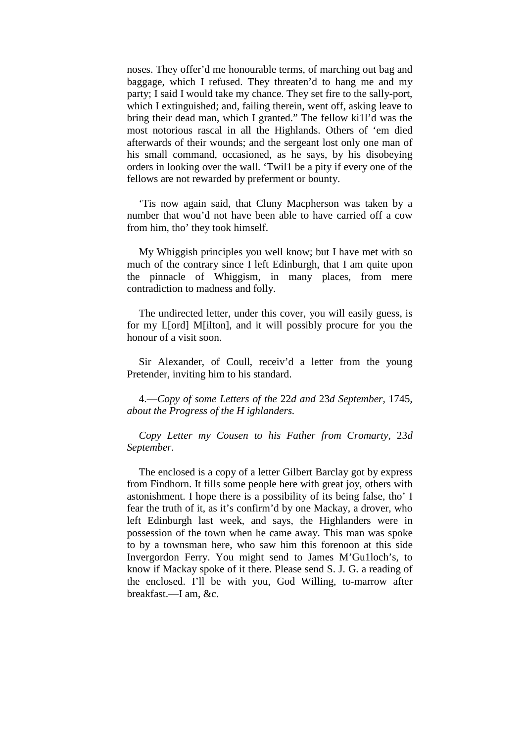noses. They offer'd me honourable terms, of marching out bag and baggage, which I refused. They threaten'd to hang me and my party; I said I would take my chance. They set fire to the sally-port, which I extinguished; and, failing therein, went off, asking leave to bring their dead man, which I granted." The fellow ki1l'd was the most notorious rascal in all the Highlands. Others of 'em died afterwards of their wounds; and the sergeant lost only one man of his small command, occasioned, as he says, by his disobeying orders in looking over the wall. 'Twil1 be a pity if every one of the fellows are not rewarded by preferment or bounty.

'Tis now again said, that Cluny Macpherson was taken by a number that wou'd not have been able to have carried off a cow from him, tho' they took himself.

My Whiggish principles you well know; but I have met with so much of the contrary since I left Edinburgh, that I am quite upon the pinnacle of Whiggism, in many places, from mere contradiction to madness and folly.

The undirected letter, under this cover, you will easily guess, is for my L[ord] M[ilton], and it will possibly procure for you the honour of a visit soon.

Sir Alexander, of Coull, receiv'd a letter from the young Pretender, inviting him to his standard.

4.—*Copy of some Letters of the* 22*d and* 23*d September,* 1745*, about the Progress of the H ighlanders.*

*Copy Letter my Cousen to his Father from Cromarty,* 23*d September.*

The enclosed is a copy of a letter Gilbert Barclay got by express from Findhorn. It fills some people here with great joy, others with astonishment. I hope there is a possibility of its being false, tho' I fear the truth of it, as it's confirm'd by one Mackay, a drover, who left Edinburgh last week, and says, the Highlanders were in possession of the town when he came away. This man was spoke to by a townsman here, who saw him this forenoon at this side Invergordon Ferry. You might send to James M'Gu1loch's, to know if Mackay spoke of it there. Please send S. J. G. a reading of the enclosed. I'll be with you, God Willing, to-marrow after breakfast.—I am, &c.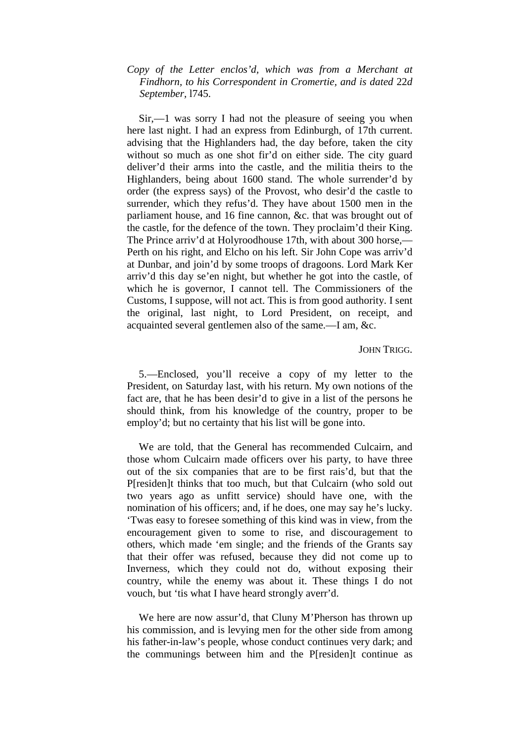## *Copy of the Letter enclos'd, which was from a Merchant at Findhorn, to his Correspondent in Cromertie, and is dated* 22*d September,* l745.

Sir,—1 was sorry I had not the pleasure of seeing you when here last night. I had an express from Edinburgh, of 17th current. advising that the Highlanders had, the day before, taken the city without so much as one shot fir'd on either side. The city guard deliver'd their arms into the castle, and the militia theirs to the Highlanders, being about 1600 stand. The whole surrender'd by order (the express says) of the Provost, who desir'd the castle to surrender, which they refus'd. They have about 1500 men in the parliament house, and 16 fine cannon, &c. that was brought out of the castle, for the defence of the town. They proclaim'd their King. The Prince arriv'd at Holyroodhouse 17th, with about 300 horse,— Perth on his right, and Elcho on his left. Sir John Cope was arriv'd at Dunbar, and join'd by some troops of dragoons. Lord Mark Ker arriv'd this day se'en night, but whether he got into the castle, of which he is governor, I cannot tell. The Commissioners of the Customs, I suppose, will not act. This is from good authority. I sent the original, last night, to Lord President, on receipt, and acquainted several gentlemen also of the same.—I am, &c.

#### JOHN TRIGG.

5.—Enclosed, you'll receive a copy of my letter to the President, on Saturday last, with his return. My own notions of the fact are, that he has been desir'd to give in a list of the persons he should think, from his knowledge of the country, proper to be employ'd; but no certainty that his list will be gone into.

We are told, that the General has recommended Culcairn, and those whom Culcairn made officers over his party, to have three out of the six companies that are to be first rais'd, but that the P[residen]t thinks that too much, but that Culcairn (who sold out two years ago as unfitt service) should have one, with the nomination of his officers; and, if he does, one may say he's lucky. 'Twas easy to foresee something of this kind was in view, from the encouragement given to some to rise, and discouragement to others, which made 'em single; and the friends of the Grants say that their offer was refused, because they did not come up to Inverness, which they could not do, without exposing their country, while the enemy was about it. These things I do not vouch, but 'tis what I have heard strongly averr'd.

We here are now assur'd, that Cluny M'Pherson has thrown up his commission, and is levying men for the other side from among his father-in-law's people, whose conduct continues very dark; and the communings between him and the P[residen]t continue as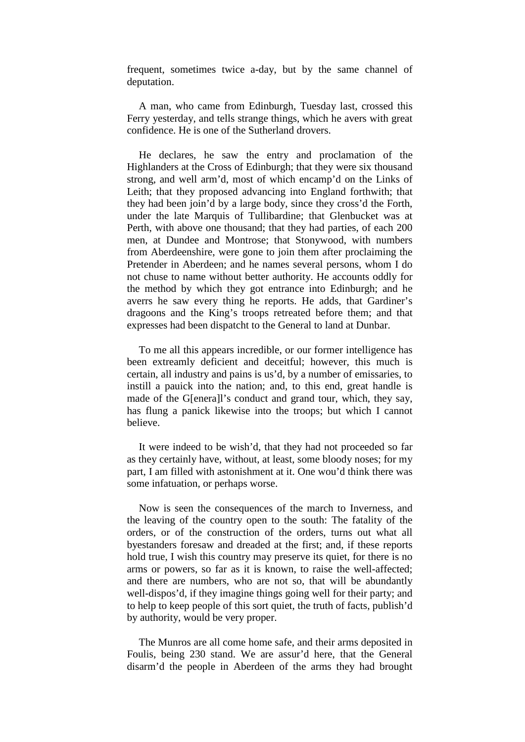frequent, sometimes twice a-day, but by the same channel of deputation.

A man, who came from Edinburgh, Tuesday last, crossed this Ferry yesterday, and tells strange things, which he avers with great confidence. He is one of the Sutherland drovers.

He declares, he saw the entry and proclamation of the Highlanders at the Cross of Edinburgh; that they were six thousand strong, and well arm'd, most of which encamp'd on the Links of Leith; that they proposed advancing into England forthwith; that they had been join'd by a large body, since they cross'd the Forth, under the late Marquis of Tullibardine; that Glenbucket was at Perth, with above one thousand; that they had parties, of each 200 men, at Dundee and Montrose; that Stonywood, with numbers from Aberdeenshire, were gone to join them after proclaiming the Pretender in Aberdeen; and he names several persons, whom I do not chuse to name without better authority. He accounts oddly for the method by which they got entrance into Edinburgh; and he averrs he saw every thing he reports. He adds, that Gardiner's dragoons and the King's troops retreated before them; and that expresses had been dispatcht to the General to land at Dunbar.

To me all this appears incredible, or our former intelligence has been extreamly deficient and deceitful; however, this much is certain, all industry and pains is us'd, by a number of emissaries, to instill a pauick into the nation; and, to this end, great handle is made of the G[enera]l's conduct and grand tour, which, they say, has flung a panick likewise into the troops; but which I cannot believe.

It were indeed to be wish'd, that they had not proceeded so far as they certainly have, without, at least, some bloody noses; for my part, I am filled with astonishment at it. One wou'd think there was some infatuation, or perhaps worse.

Now is seen the consequences of the march to Inverness, and the leaving of the country open to the south: The fatality of the orders, or of the construction of the orders, turns out what all byestanders foresaw and dreaded at the first; and, if these reports hold true, I wish this country may preserve its quiet, for there is no arms or powers, so far as it is known, to raise the well-affected; and there are numbers, who are not so, that will be abundantly well-dispos'd, if they imagine things going well for their party; and to help to keep people of this sort quiet, the truth of facts, publish'd by authority, would be very proper.

The Munros are all come home safe, and their arms deposited in Foulis, being 230 stand. We are assur'd here, that the General disarm'd the people in Aberdeen of the arms they had brought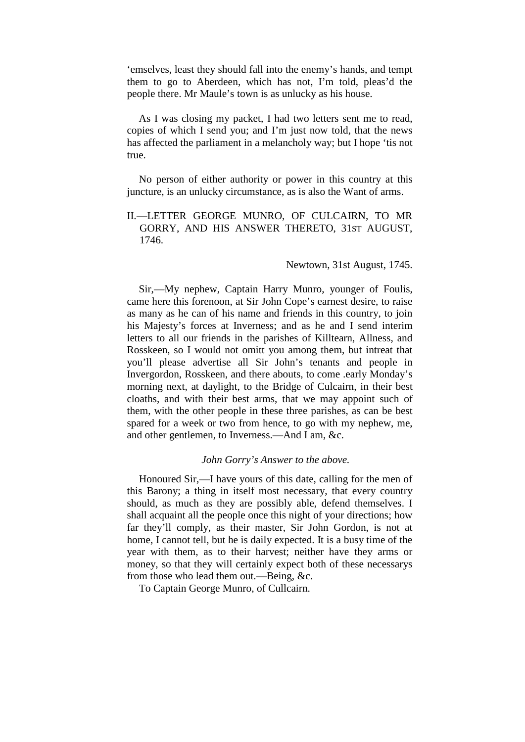'emselves, least they should fall into the enemy's hands, and tempt them to go to Aberdeen, which has not, I'm told, pleas'd the people there. Mr Maule's town is as unlucky as his house.

As I was closing my packet, I had two letters sent me to read, copies of which I send you; and I'm just now told, that the news has affected the parliament in a melancholy way; but I hope 'tis not true.

No person of either authority or power in this country at this juncture, is an unlucky circumstance, as is also the Want of arms.

II.—LETTER GEORGE MUNRO, OF CULCAIRN, TO MR GORRY, AND HIS ANSWER THERETO, 31ST AUGUST, 1746.

#### Newtown, 31st August, 1745.

Sir,—My nephew, Captain Harry Munro, younger of Foulis, came here this forenoon, at Sir John Cope's earnest desire, to raise as many as he can of his name and friends in this country, to join his Majesty's forces at Inverness; and as he and I send interim letters to all our friends in the parishes of Killtearn, Allness, and Rosskeen, so I would not omitt you among them, but intreat that you'll please advertise all Sir John's tenants and people in Invergordon, Rosskeen, and there abouts, to come .early Monday's morning next, at daylight, to the Bridge of Culcairn, in their best cloaths, and with their best arms, that we may appoint such of them, with the other people in these three parishes, as can be best spared for a week or two from hence, to go with my nephew, me, and other gentlemen, to Inverness.—And I am, &c.

#### *John Gorry's Answer to the above.*

Honoured Sir,—I have yours of this date, calling for the men of this Barony; a thing in itself most necessary, that every country should, as much as they are possibly able, defend themselves. I shall acquaint all the people once this night of your directions; how far they'll comply, as their master, Sir John Gordon, is not at home, I cannot tell, but he is daily expected. It is a busy time of the year with them, as to their harvest; neither have they arms or money, so that they will certainly expect both of these necessarys from those who lead them out.—Being, &c.

To Captain George Munro, of Cullcairn.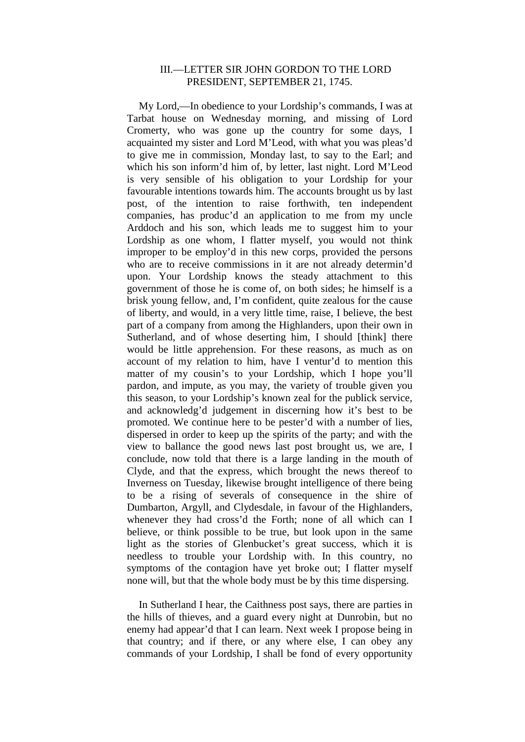### III.—LETTER SIR JOHN GORDON TO THE LORD PRESIDENT, SEPTEMBER 21, 1745.

My Lord,—In obedience to your Lordship's commands, I was at Tarbat house on Wednesday morning, and missing of Lord Cromerty, who was gone up the country for some days, I acquainted my sister and Lord M'Leod, with what you was pleas'd to give me in commission, Monday last, to say to the Earl; and which his son inform'd him of, by letter, last night. Lord M'Leod is very sensible of his obligation to your Lordship for your favourable intentions towards him. The accounts brought us by last post, of the intention to raise forthwith, ten independent companies, has produc'd an application to me from my uncle Arddoch and his son, which leads me to suggest him to your Lordship as one whom, I flatter myself, you would not think improper to be employ'd in this new corps, provided the persons who are to receive commissions in it are not already determin'd upon. Your Lordship knows the steady attachment to this government of those he is come of, on both sides; he himself is a brisk young fellow, and, I'm confident, quite zealous for the cause of liberty, and would, in a very little time, raise, I believe, the best part of a company from among the Highlanders, upon their own in Sutherland, and of whose deserting him, I should [think] there would be little apprehension. For these reasons, as much as on account of my relation to him, have I ventur'd to mention this matter of my cousin's to your Lordship, which I hope you'll pardon, and impute, as you may, the variety of trouble given you this season, to your Lordship's known zeal for the publick service, and acknowledg'd judgement in discerning how it's best to be promoted. We continue here to be pester'd with a number of lies, dispersed in order to keep up the spirits of the party; and with the view to ballance the good news last post brought us, we are, I conclude, now told that there is a large landing in the mouth of Clyde, and that the express, which brought the news thereof to Inverness on Tuesday, likewise brought intelligence of there being to be a rising of severals of consequence in the shire of Dumbarton, Argyll, and Clydesdale, in favour of the Highlanders, whenever they had cross'd the Forth; none of all which can I believe, or think possible to be true, but look upon in the same light as the stories of Glenbucket's great success, which it is needless to trouble your Lordship with. In this country, no symptoms of the contagion have yet broke out; I flatter myself none will, but that the whole body must be by this time dispersing.

In Sutherland I hear, the Caithness post says, there are parties in the hills of thieves, and a guard every night at Dunrobin, but no enemy had appear'd that I can learn. Next week I propose being in that country; and if there, or any where else, I can obey any commands of your Lordship, I shall be fond of every opportunity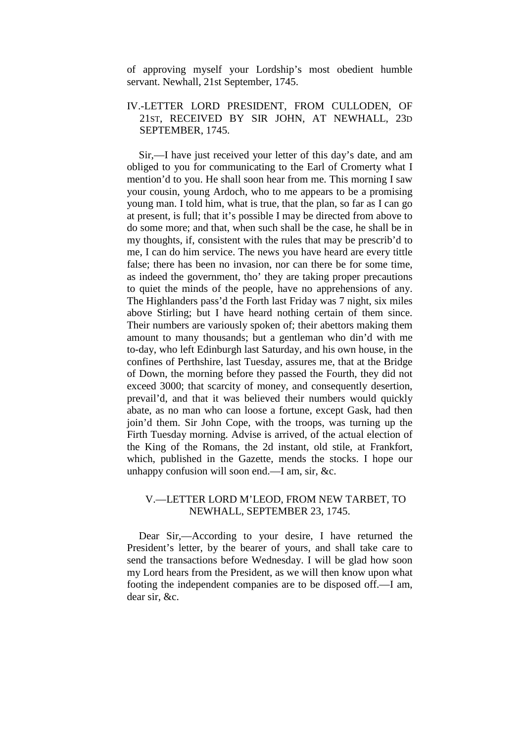of approving myself your Lordship's most obedient humble servant. Newhall, 21st September, 1745.

## IV.-LETTER LORD PRESIDENT, FROM CULLODEN, OF 21ST, RECEIVED BY SIR JOHN, AT NEWHALL, 23D SEPTEMBER, 1745.

Sir,—I have just received your letter of this day's date, and am obliged to you for communicating to the Earl of Cromerty what I mention'd to you. He shall soon hear from me. This morning I saw your cousin, young Ardoch, who to me appears to be a promising young man. I told him, what is true, that the plan, so far as I can go at present, is full; that it's possible I may be directed from above to do some more; and that, when such shall be the case, he shall be in my thoughts, if, consistent with the rules that may be prescrib'd to me, I can do him service. The news you have heard are every tittle false; there has been no invasion, nor can there be for some time, as indeed the government, tho' they are taking proper precautions to quiet the minds of the people, have no apprehensions of any. The Highlanders pass'd the Forth last Friday was 7 night, six miles above Stirling; but I have heard nothing certain of them since. Their numbers are variously spoken of; their abettors making them amount to many thousands; but a gentleman who din'd with me to-day, who left Edinburgh last Saturday, and his own house, in the confines of Perthshire, last Tuesday, assures me, that at the Bridge of Down, the morning before they passed the Fourth, they did not exceed 3000; that scarcity of money, and consequently desertion, prevail'd, and that it was believed their numbers would quickly abate, as no man who can loose a fortune, except Gask, had then join'd them. Sir John Cope, with the troops, was turning up the Firth Tuesday morning. Advise is arrived, of the actual election of the King of the Romans, the 2d instant, old stile, at Frankfort, which, published in the Gazette, mends the stocks. I hope our unhappy confusion will soon end.—I am, sir, &c.

## V.—LETTER LORD M'LEOD, FROM NEW TARBET, TO NEWHALL, SEPTEMBER 23, 1745.

Dear Sir,—According to your desire, I have returned the President's letter, by the bearer of yours, and shall take care to send the transactions before Wednesday. I will be glad how soon my Lord hears from the President, as we will then know upon what footing the independent companies are to be disposed off.—I am, dear sir, &c.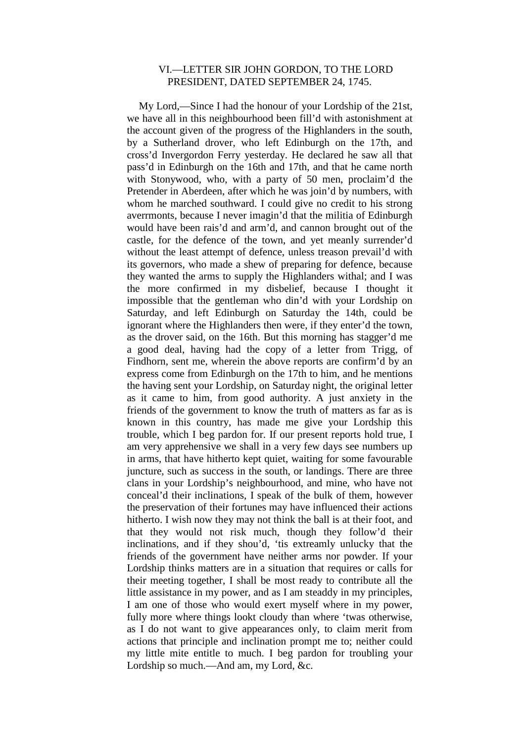### VI.—LETTER SIR JOHN GORDON, TO THE LORD PRESIDENT, DATED SEPTEMBER 24, 1745.

My Lord,—Since I had the honour of your Lordship of the 21st, we have all in this neighbourhood been fill'd with astonishment at the account given of the progress of the Highlanders in the south, by a Sutherland drover, who left Edinburgh on the 17th, and cross'd Invergordon Ferry yesterday. He declared he saw all that pass'd in Edinburgh on the 16th and 17th, and that he came north with Stonywood, who, with a party of 50 men, proclaim'd the Pretender in Aberdeen, after which he was join'd by numbers, with whom he marched southward. I could give no credit to his strong averrmonts, because I never imagin'd that the militia of Edinburgh would have been rais'd and arm'd, and cannon brought out of the castle, for the defence of the town, and yet meanly surrender'd without the least attempt of defence, unless treason prevail'd with its governors, who made a shew of preparing for defence, because they wanted the arms to supply the Highlanders withal; and I was the more confirmed in my disbelief, because I thought it impossible that the gentleman who din'd with your Lordship on Saturday, and left Edinburgh on Saturday the 14th, could be ignorant where the Highlanders then were, if they enter'd the town, as the drover said, on the 16th. But this morning has stagger'd me a good deal, having had the copy of a letter from Trigg, of Findhorn, sent me, wherein the above reports are confirm'd by an express come from Edinburgh on the 17th to him, and he mentions the having sent your Lordship, on Saturday night, the original letter as it came to him, from good authority. A just anxiety in the friends of the government to know the truth of matters as far as is known in this country, has made me give your Lordship this trouble, which I beg pardon for. If our present reports hold true, I am very apprehensive we shall in a very few days see numbers up in arms, that have hitherto kept quiet, waiting for some favourable juncture, such as success in the south, or landings. There are three clans in your Lordship's neighbourhood, and mine, who have not conceal'd their inclinations, I speak of the bulk of them, however the preservation of their fortunes may have influenced their actions hitherto. I wish now they may not think the ball is at their foot, and that they would not risk much, though they follow'd their inclinations, and if they shou'd, 'tis extreamly unlucky that the friends of the government have neither arms nor powder. If your Lordship thinks matters are in a situation that requires or calls for their meeting together, I shall be most ready to contribute all the little assistance in my power, and as I am steaddy in my principles, I am one of those who would exert myself where in my power, fully more where things lookt cloudy than where 'twas otherwise, as I do not want to give appearances only, to claim merit from actions that principle and inclination prompt me to; neither could my little mite entitle to much. I beg pardon for troubling your Lordship so much.—And am, my Lord, &c.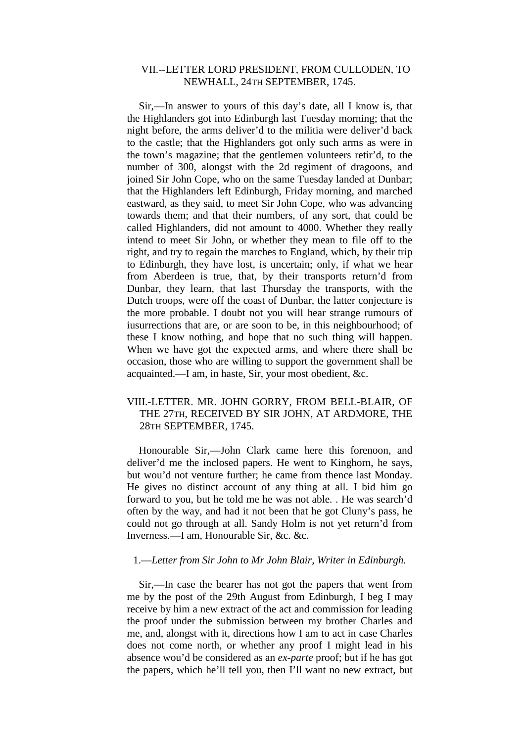## VII.--LETTER LORD PRESIDENT, FROM CULLODEN, TO NEWHALL, 24TH SEPTEMBER, 1745.

Sir,—In answer to yours of this day's date, all I know is, that the Highlanders got into Edinburgh last Tuesday morning; that the night before, the arms deliver'd to the militia were deliver'd back to the castle; that the Highlanders got only such arms as were in the town's magazine; that the gentlemen volunteers retir'd, to the number of 300, alongst with the 2d regiment of dragoons, and joined Sir John Cope, who on the same Tuesday landed at Dunbar; that the Highlanders left Edinburgh, Friday morning, and marched eastward, as they said, to meet Sir John Cope, who was advancing towards them; and that their numbers, of any sort, that could be called Highlanders, did not amount to 4000. Whether they really intend to meet Sir John, or whether they mean to file off to the right, and try to regain the marches to England, which, by their trip to Edinburgh, they have lost, is uncertain; only, if what we hear from Aberdeen is true, that, by their transports return'd from Dunbar, they learn, that last Thursday the transports, with the Dutch troops, were off the coast of Dunbar, the latter conjecture is the more probable. I doubt not you will hear strange rumours of iusurrections that are, or are soon to be, in this neighbourhood; of these I know nothing, and hope that no such thing will happen. When we have got the expected arms, and where there shall be occasion, those who are willing to support the government shall be acquainted.—I am, in haste, Sir, your most obedient, &c.

## VIII.-LETTER. MR. JOHN GORRY, FROM BELL-BLAIR, OF THE 27TH, RECEIVED BY SIR JOHN, AT ARDMORE, THE 28TH SEPTEMBER, 1745.

Honourable Sir,—John Clark came here this forenoon, and deliver'd me the inclosed papers. He went to Kinghorn, he says, but wou'd not venture further; he came from thence last Monday. He gives no distinct account of any thing at all. I bid him go forward to you, but he told me he was not able. . He was search'd often by the way, and had it not been that he got Cluny's pass, he could not go through at all. Sandy Holm is not yet return'd from Inverness.—I am, Honourable Sir, &c. &c.

### 1.—*Letter from Sir John to Mr John Blair, Writer in Edinburgh.*

Sir,—In case the bearer has not got the papers that went from me by the post of the 29th August from Edinburgh, I beg I may receive by him a new extract of the act and commission for leading the proof under the submission between my brother Charles and me, and, alongst with it, directions how I am to act in case Charles does not come north, or whether any proof I might lead in his absence wou'd be considered as an *ex-parte* proof; but if he has got the papers, which he'll tell you, then I'll want no new extract, but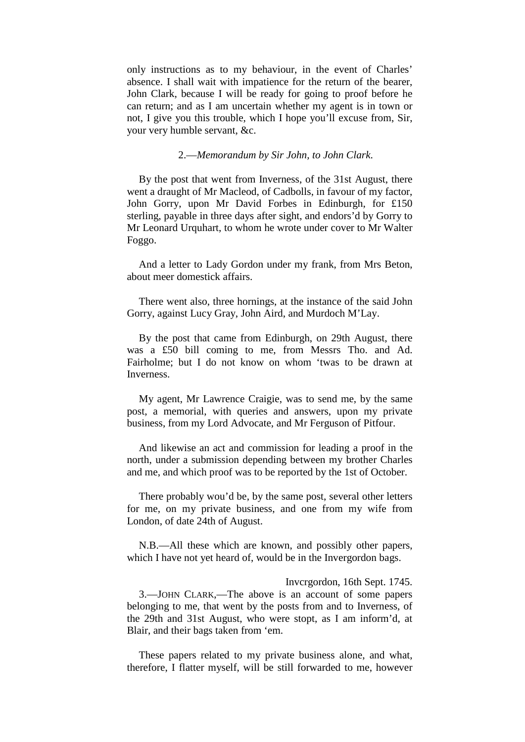only instructions as to my behaviour, in the event of Charles' absence. I shall wait with impatience for the return of the bearer, John Clark, because I will be ready for going to proof before he can return; and as I am uncertain whether my agent is in town or not, I give you this trouble, which I hope you'll excuse from, Sir, your very humble servant, &c.

#### 2.—*Memorandum by Sir John, to John Clark*.

By the post that went from Inverness, of the 31st August, there went a draught of Mr Macleod, of Cadbolls, in favour of my factor, John Gorry, upon Mr David Forbes in Edinburgh, for £150 sterling, payable in three days after sight, and endors'd by Gorry to Mr Leonard Urquhart, to whom he wrote under cover to Mr Walter Foggo.

And a letter to Lady Gordon under my frank, from Mrs Beton, about meer domestick affairs.

There went also, three hornings, at the instance of the said John Gorry, against Lucy Gray, John Aird, and Murdoch M'Lay.

By the post that came from Edinburgh, on 29th August, there was a £50 bill coming to me, from Messrs Tho. and Ad. Fairholme; but I do not know on whom 'twas to be drawn at Inverness.

My agent, Mr Lawrence Craigie, was to send me, by the same post, a memorial, with queries and answers, upon my private business, from my Lord Advocate, and Mr Ferguson of Pitfour.

And likewise an act and commission for leading a proof in the north, under a submission depending between my brother Charles and me, and which proof was to be reported by the 1st of October.

There probably wou'd be, by the same post, several other letters for me, on my private business, and one from my wife from London, of date 24th of August.

N.B.—All these which are known, and possibly other papers, which I have not yet heard of, would be in the Invergordon bags.

Invcrgordon, 16th Sept. 1745. 3.—JOHN CLARK,—The above is an account of some papers belonging to me, that went by the posts from and to Inverness, of the 29th and 31st August, who were stopt, as I am inform'd, at Blair, and their bags taken from 'em.

These papers related to my private business alone, and what, therefore, I flatter myself, will be still forwarded to me, however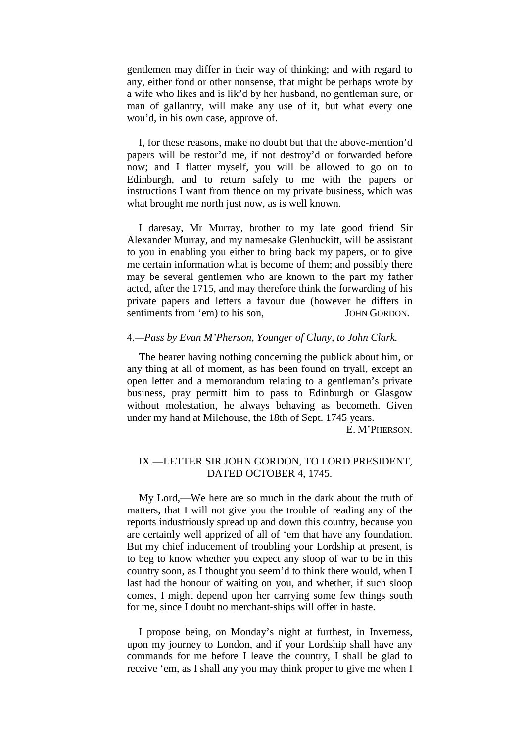gentlemen may differ in their way of thinking; and with regard to any, either fond or other nonsense, that might be perhaps wrote by a wife who likes and is lik'd by her husband, no gentleman sure, or man of gallantry, will make any use of it, but what every one wou'd, in his own case, approve of.

I, for these reasons, make no doubt but that the above-mention'd papers will be restor'd me, if not destroy'd or forwarded before now; and I flatter myself, you will be allowed to go on to Edinburgh, and to return safely to me with the papers or instructions I want from thence on my private business, which was what brought me north just now, as is well known.

I daresay, Mr Murray, brother to my late good friend Sir Alexander Murray, and my namesake Glenhuckitt, will be assistant to you in enabling you either to bring back my papers, or to give me certain information what is become of them; and possibly there may be several gentlemen who are known to the part my father acted, after the 1715, and may therefore think the forwarding of his private papers and letters a favour due (however he differs in sentiments from 'em) to his son, JOHN GORDON.

### 4.*—Pass by Evan M'Pherson, Younger of Cluny, to John Clark.*

The bearer having nothing concerning the publick about him, or any thing at all of moment, as has been found on tryall, except an open letter and a memorandum relating to a gentleman's private business, pray permitt him to pass to Edinburgh or Glasgow without molestation, he always behaving as becometh. Given under my hand at Milehouse, the 18th of Sept. 1745 years.

E. M'PHERSON.

## IX.—LETTER SIR JOHN GORDON, TO LORD PRESIDENT, DATED OCTOBER 4, 1745.

My Lord,—We here are so much in the dark about the truth of matters, that I will not give you the trouble of reading any of the reports industriously spread up and down this country, because you are certainly well apprized of all of 'em that have any foundation. But my chief inducement of troubling your Lordship at present, is to beg to know whether you expect any sloop of war to be in this country soon, as I thought you seem'd to think there would, when I last had the honour of waiting on you, and whether, if such sloop comes, I might depend upon her carrying some few things south for me, since I doubt no merchant-ships will offer in haste.

I propose being, on Monday's night at furthest, in Inverness, upon my journey to London, and if your Lordship shall have any commands for me before I leave the country, I shall be glad to receive 'em, as I shall any you may think proper to give me when I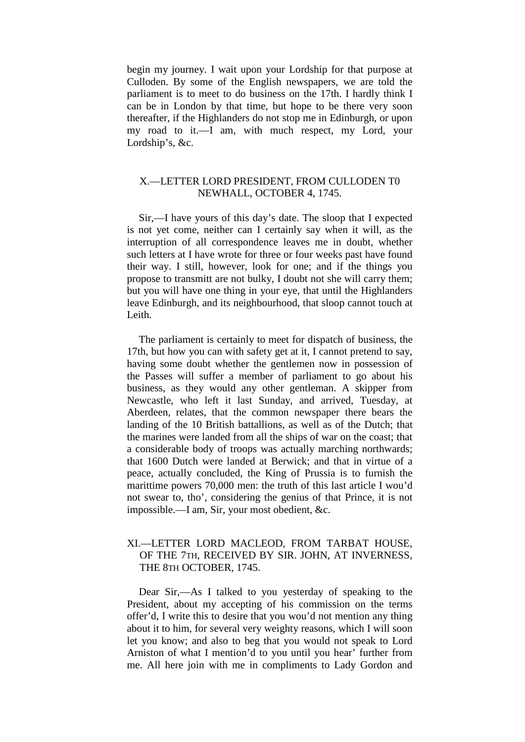begin my journey. I wait upon your Lordship for that purpose at Culloden. By some of the English newspapers, we are told the parliament is to meet to do business on the 17th. I hardly think I can be in London by that time, but hope to be there very soon thereafter, if the Highlanders do not stop me in Edinburgh, or upon my road to it.—I am, with much respect, my Lord, your Lordship's, &c.

## X.—LETTER LORD PRESIDENT, FROM CULLODEN T0 NEWHALL, OCTOBER 4, 1745.

Sir,—I have yours of this day's date. The sloop that I expected is not yet come, neither can I certainly say when it will, as the interruption of all correspondence leaves me in doubt, whether such letters at I have wrote for three or four weeks past have found their way. I still, however, look for one; and if the things you propose to transmitt are not bulky, I doubt not she will carry them; but you will have one thing in your eye, that until the Highlanders leave Edinburgh, and its neighbourhood, that sloop cannot touch at Leith.

The parliament is certainly to meet for dispatch of business, the 17th, but how you can with safety get at it, I cannot pretend to say, having some doubt whether the gentlemen now in possession of the Passes will suffer a member of parliament to go about his business, as they would any other gentleman. A skipper from Newcastle, who left it last Sunday, and arrived, Tuesday, at Aberdeen, relates, that the common newspaper there bears the landing of the 10 British battallions, as well as of the Dutch; that the marines were landed from all the ships of war on the coast; that a considerable body of troops was actually marching northwards; that 1600 Dutch were landed at Berwick; and that in virtue of a peace, actually concluded, the King of Prussia is to furnish the marittime powers 70,000 men: the truth of this last article I wou'd not swear to, tho', considering the genius of that Prince, it is not impossible.—I am, Sir, your most obedient, &c.

## XI.—LETTER LORD MACLEOD, FROM TARBAT HOUSE, OF THE 7TH, RECEIVED BY SIR. JOHN, AT INVERNESS, THE 8TH OCTOBER, 1745.

Dear Sir,—As I talked to you yesterday of speaking to the President, about my accepting of his commission on the terms offer'd, I write this to desire that you wou'd not mention any thing about it to him, for several very weighty reasons, which I will soon let you know; and also to beg that you would not speak to Lord Arniston of what I mention'd to you until you hear' further from me. All here join with me in compliments to Lady Gordon and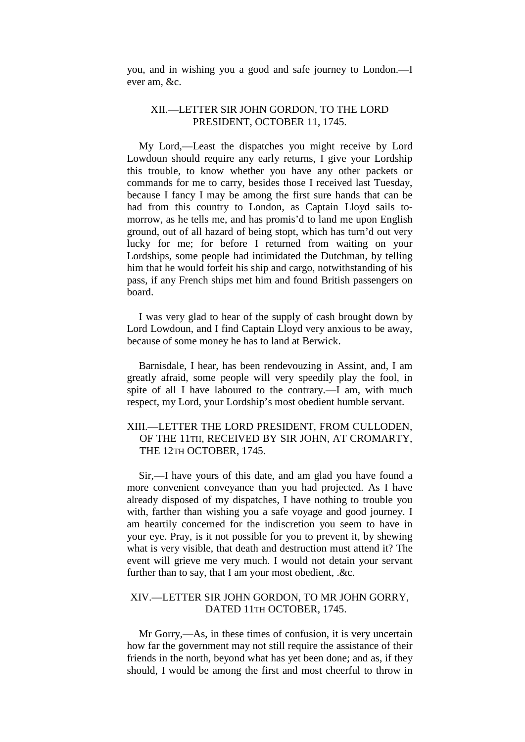you, and in wishing you a good and safe journey to London.—I ever am, &c.

## XII.—LETTER SIR JOHN GORDON, TO THE LORD PRESIDENT, OCTOBER 11, 1745.

My Lord,—Least the dispatches you might receive by Lord Lowdoun should require any early returns, I give your Lordship this trouble, to know whether you have any other packets or commands for me to carry, besides those I received last Tuesday, because I fancy I may be among the first sure hands that can be had from this country to London, as Captain Lloyd sails tomorrow, as he tells me, and has promis'd to land me upon English ground, out of all hazard of being stopt, which has turn'd out very lucky for me; for before I returned from waiting on your Lordships, some people had intimidated the Dutchman, by telling him that he would forfeit his ship and cargo, notwithstanding of his pass, if any French ships met him and found British passengers on board.

I was very glad to hear of the supply of cash brought down by Lord Lowdoun, and I find Captain Lloyd very anxious to be away, because of some money he has to land at Berwick.

Barnisdale, I hear, has been rendevouzing in Assint, and, I am greatly afraid, some people will very speedily play the fool, in spite of all I have laboured to the contrary.—I am, with much respect, my Lord, your Lordship's most obedient humble servant.

## XIII.—LETTER THE LORD PRESIDENT, FROM CULLODEN, OF THE 11TH, RECEIVED BY SIR JOHN, AT CROMARTY, THE 12TH OCTOBER, 1745.

Sir,—I have yours of this date, and am glad you have found a more convenient conveyance than you had projected. As I have already disposed of my dispatches, I have nothing to trouble you with, farther than wishing you a safe voyage and good journey. I am heartily concerned for the indiscretion you seem to have in your eye. Pray, is it not possible for you to prevent it, by shewing what is very visible, that death and destruction must attend it? The event will grieve me very much. I would not detain your servant further than to say, that I am your most obedient, .&c.

## XIV.—LETTER SIR JOHN GORDON, TO MR JOHN GORRY, DATED 11TH OCTOBER, 1745.

Mr Gorry,—As, in these times of confusion, it is very uncertain how far the government may not still require the assistance of their friends in the north, beyond what has yet been done; and as, if they should, I would be among the first and most cheerful to throw in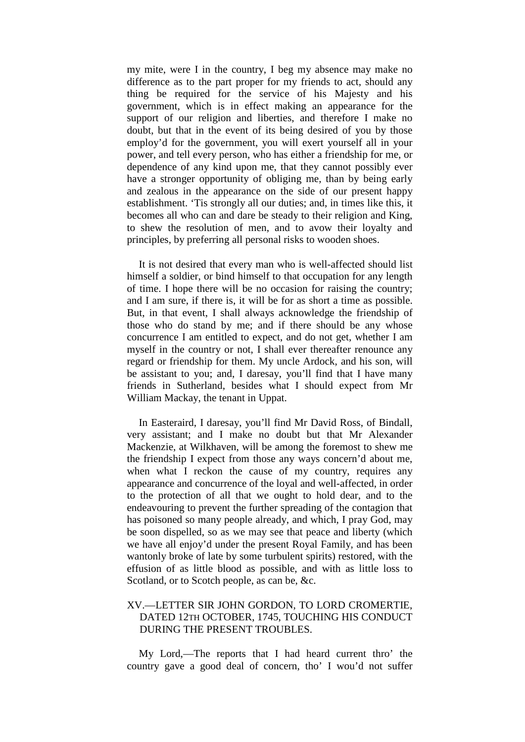my mite, were I in the country, I beg my absence may make no difference as to the part proper for my friends to act, should any thing be required for the service of his Majesty and his government, which is in effect making an appearance for the support of our religion and liberties, and therefore I make no doubt, but that in the event of its being desired of you by those employ'd for the government, you will exert yourself all in your power, and tell every person, who has either a friendship for me, or dependence of any kind upon me, that they cannot possibly ever have a stronger opportunity of obliging me, than by being early and zealous in the appearance on the side of our present happy establishment. 'Tis strongly all our duties; and, in times like this, it becomes all who can and dare be steady to their religion and King, to shew the resolution of men, and to avow their loyalty and principles, by preferring all personal risks to wooden shoes.

It is not desired that every man who is well-affected should list himself a soldier, or bind himself to that occupation for any length of time. I hope there will be no occasion for raising the country; and I am sure, if there is, it will be for as short a time as possible. But, in that event, I shall always acknowledge the friendship of those who do stand by me; and if there should be any whose concurrence I am entitled to expect, and do not get, whether I am myself in the country or not, I shall ever thereafter renounce any regard or friendship for them. My uncle Ardock, and his son, will be assistant to you; and, I daresay, you'll find that I have many friends in Sutherland, besides what I should expect from Mr William Mackay, the tenant in Uppat.

In Easteraird, I daresay, you'll find Mr David Ross, of Bindall, very assistant; and I make no doubt but that Mr Alexander Mackenzie, at Wilkhaven, will be among the foremost to shew me the friendship I expect from those any ways concern'd about me, when what I reckon the cause of my country, requires any appearance and concurrence of the loyal and well-affected, in order to the protection of all that we ought to hold dear, and to the endeavouring to prevent the further spreading of the contagion that has poisoned so many people already, and which, I pray God, may be soon dispelled, so as we may see that peace and liberty (which we have all enjoy'd under the present Royal Family, and has been wantonly broke of late by some turbulent spirits) restored, with the effusion of as little blood as possible, and with as little loss to Scotland, or to Scotch people, as can be, &c.

## XV.—LETTER SIR JOHN GORDON, TO LORD CROMERTIE, DATED 12TH OCTOBER, 1745, TOUCHING HIS CONDUCT DURING THE PRESENT TROUBLES.

My Lord,—The reports that I had heard current thro' the country gave a good deal of concern, tho' I wou'd not suffer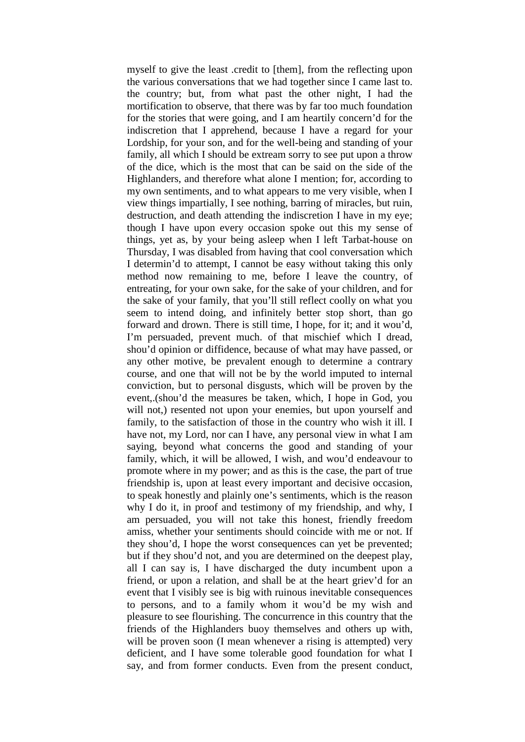myself to give the least .credit to [them], from the reflecting upon the various conversations that we had together since I came last to. the country; but, from what past the other night, I had the mortification to observe, that there was by far too much foundation for the stories that were going, and I am heartily concern'd for the indiscretion that I apprehend, because I have a regard for your Lordship, for your son, and for the well-being and standing of your family, all which I should be extream sorry to see put upon a throw of the dice, which is the most that can be said on the side of the Highlanders, and therefore what alone I mention; for, according to my own sentiments, and to what appears to me very visible, when I view things impartially, I see nothing, barring of miracles, but ruin, destruction, and death attending the indiscretion I have in my eye; though I have upon every occasion spoke out this my sense of things, yet as, by your being asleep when I left Tarbat-house on Thursday, I was disabled from having that cool conversation which I determin'd to attempt, I cannot be easy without taking this only method now remaining to me, before I leave the country, of entreating, for your own sake, for the sake of your children, and for the sake of your family, that you'll still reflect coolly on what you seem to intend doing, and infinitely better stop short, than go forward and drown. There is still time, I hope, for it; and it wou'd, I'm persuaded, prevent much. of that mischief which I dread, shou'd opinion or diffidence, because of what may have passed, or any other motive, be prevalent enough to determine a contrary course, and one that will not be by the world imputed to internal conviction, but to personal disgusts, which will be proven by the event,.(shou'd the measures be taken, which, I hope in God, you will not,) resented not upon your enemies, but upon yourself and family, to the satisfaction of those in the country who wish it ill. I have not, my Lord, nor can I have, any personal view in what I am saying, beyond what concerns the good and standing of your family, which, it will be allowed, I wish, and wou'd endeavour to promote where in my power; and as this is the case, the part of true friendship is, upon at least every important and decisive occasion, to speak honestly and plainly one's sentiments, which is the reason why I do it, in proof and testimony of my friendship, and why, I am persuaded, you will not take this honest, friendly freedom amiss, whether your sentiments should coincide with me or not. If they shou'd, I hope the worst consequences can yet be prevented; but if they shou'd not, and you are determined on the deepest play, all I can say is, I have discharged the duty incumbent upon a friend, or upon a relation, and shall be at the heart griev'd for an event that I visibly see is big with ruinous inevitable consequences to persons, and to a family whom it wou'd be my wish and pleasure to see flourishing. The concurrence in this country that the friends of the Highlanders buoy themselves and others up with, will be proven soon (I mean whenever a rising is attempted) very deficient, and I have some tolerable good foundation for what I say, and from former conducts. Even from the present conduct,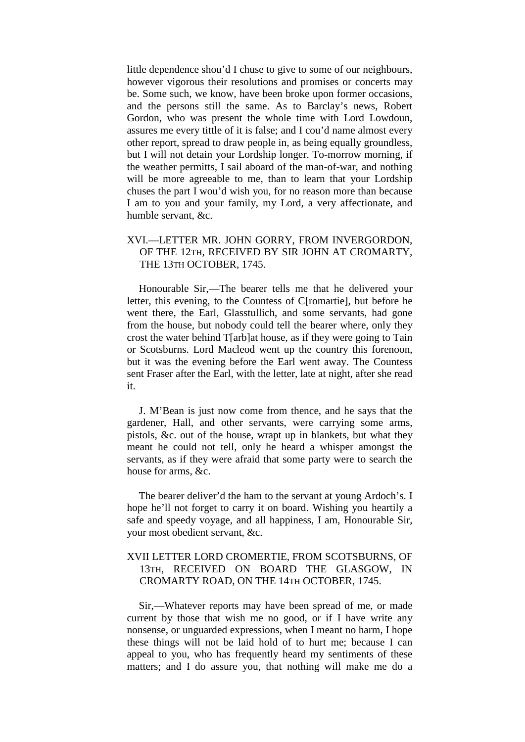little dependence shou'd I chuse to give to some of our neighbours, however vigorous their resolutions and promises or concerts may be. Some such, we know, have been broke upon former occasions, and the persons still the same. As to Barclay's news, Robert Gordon, who was present the whole time with Lord Lowdoun, assures me every tittle of it is false; and I cou'd name almost every other report, spread to draw people in, as being equally groundless, but I will not detain your Lordship longer. To-morrow morning, if the weather permitts, I sail aboard of the man-of-war, and nothing will be more agreeable to me, than to learn that your Lordship chuses the part I wou'd wish you, for no reason more than because I am to you and your family, my Lord, a very affectionate, and humble servant, &c.

## XVI.—LETTER MR. JOHN GORRY, FROM INVERGORDON, OF THE 12TH, RECEIVED BY SIR JOHN AT CROMARTY, THE 13TH OCTOBER, 1745.

Honourable Sir,—The bearer tells me that he delivered your letter, this evening, to the Countess of C[romartie], but before he went there, the Earl, Glasstullich, and some servants, had gone from the house, but nobody could tell the bearer where, only they crost the water behind T[arb]at house, as if they were going to Tain or Scotsburns. Lord Macleod went up the country this forenoon, but it was the evening before the Earl went away. The Countess sent Fraser after the Earl, with the letter, late at night, after she read it.

J. M'Bean is just now come from thence, and he says that the gardener, Hall, and other servants, were carrying some arms, pistols, &c. out of the house, wrapt up in blankets, but what they meant he could not tell, only he heard a whisper amongst the servants, as if they were afraid that some party were to search the house for arms, &c.

The bearer deliver'd the ham to the servant at young Ardoch's. I hope he'll not forget to carry it on board. Wishing you heartily a safe and speedy voyage, and all happiness, I am, Honourable Sir, your most obedient servant, &c.

## XVII LETTER LORD CROMERTIE, FROM SCOTSBURNS, OF 13TH, RECEIVED ON BOARD THE GLASGOW, IN CROMARTY ROAD, ON THE 14TH OCTOBER, 1745.

Sir,—Whatever reports may have been spread of me, or made current by those that wish me no good, or if I have write any nonsense, or unguarded expressions, when I meant no harm, I hope these things will not be laid hold of to hurt me; because I can appeal to you, who has frequently heard my sentiments of these matters; and I do assure you, that nothing will make me do a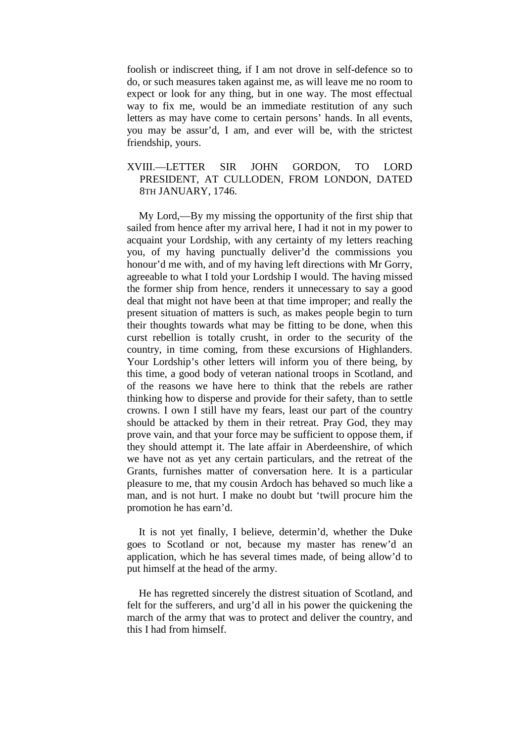foolish or indiscreet thing, if I am not drove in self-defence so to do, or such measures taken against me, as will leave me no room to expect or look for any thing, but in one way. The most effectual way to fix me, would be an immediate restitution of any such letters as may have come to certain persons' hands. In all events, you may be assur'd, I am, and ever will be, with the strictest friendship, yours.

## XVIII.—LETTER SIR JOHN GORDON, TO LORD PRESIDENT, AT CULLODEN, FROM LONDON, DATED 8TH JANUARY, 1746.

My Lord,—By my missing the opportunity of the first ship that sailed from hence after my arrival here, I had it not in my power to acquaint your Lordship, with any certainty of my letters reaching you, of my having punctually deliver'd the commissions you honour'd me with, and of my having left directions with Mr Gorry, agreeable to what I told your Lordship I would. The having missed the former ship from hence, renders it unnecessary to say a good deal that might not have been at that time improper; and really the present situation of matters is such, as makes people begin to turn their thoughts towards what may be fitting to be done, when this curst rebellion is totally crusht, in order to the security of the country, in time coming, from these excursions of Highlanders. Your Lordship's other letters will inform you of there being, by this time, a good body of veteran national troops in Scotland, and of the reasons we have here to think that the rebels are rather thinking how to disperse and provide for their safety, than to settle crowns. I own I still have my fears, least our part of the country should be attacked by them in their retreat. Pray God, they may prove vain, and that your force may be sufficient to oppose them, if they should attempt it. The late affair in Aberdeenshire, of which we have not as yet any certain particulars, and the retreat of the Grants, furnishes matter of conversation here. It is a particular pleasure to me, that my cousin Ardoch has behaved so much like a man, and is not hurt. I make no doubt but 'twill procure him the promotion he has earn'd.

It is not yet finally, I believe, determin'd, whether the Duke goes to Scotland or not, because my master has renew'd an application, which he has several times made, of being allow'd to put himself at the head of the army.

He has regretted sincerely the distrest situation of Scotland, and felt for the sufferers, and urg'd all in his power the quickening the march of the army that was to protect and deliver the country, and this I had from himself.